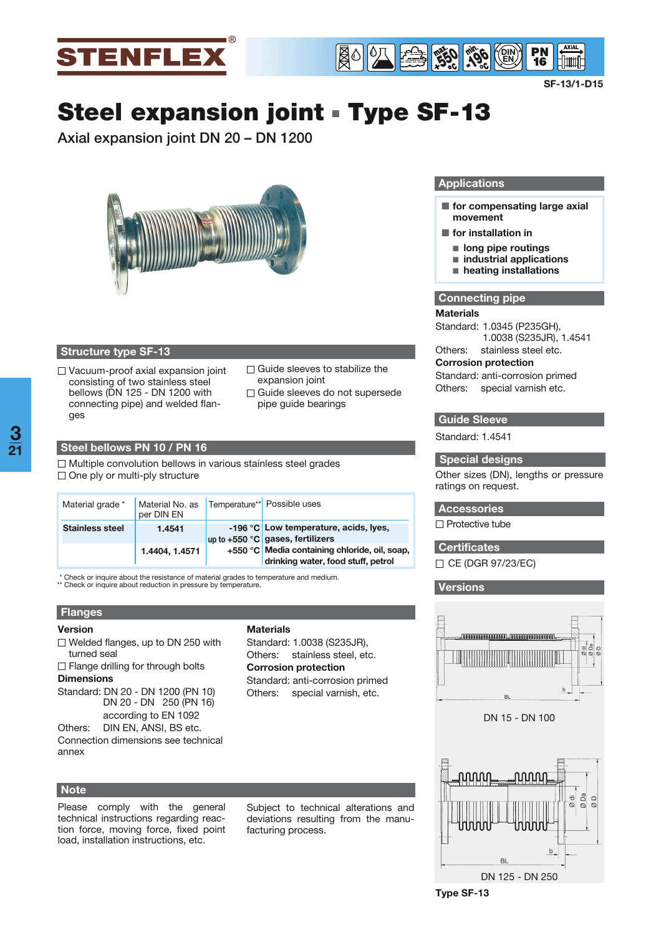



**SF-13/1-D15**

# **Steel expansion joint** - **Type SF-13**

**Axial expansion joint DN 20 – DN 1200**



## **Structure type SF-13**

- □ Vacuum-proof axial expansion joint consisting of two stainless steel bellows (DN 125 - DN 1200 with connecting pipe) and welded flanges
- $\Box$  Guide sleeves to stabilize the expansion joint
- □ Guide sleeves do not supersede pipe guide bearings

#### **Steel bellows PN 10 / PN 16**

 $\Box$  Multiple convolution bellows in various stainless steel grades  $\Box$  One ply or multi-ply structure

| Material grade *       | Material No. as<br>per DIN EN | Temperature** Possible uses                                                         |  |  |  |
|------------------------|-------------------------------|-------------------------------------------------------------------------------------|--|--|--|
| <b>Stainless steel</b> | 1.4541                        | -196 °C Low temperature, acids, Ives,<br>up to $+550$ °C gases, fertilizers         |  |  |  |
|                        | 1.4404, 1.4571                | +550 °C Media containing chloride, oil, soap,<br>drinking water, food stuff, petrol |  |  |  |

**Materials**

Standard: 1.0038 (S235JR), Others: stainless steel, etc. **Corrosion protection**

Standard: anti-corrosion primed Others: special varnish, etc.

\* Check or inquire about the resistance of material grades to temperature and medium. \*\* Check or inquire about reduction in pressure by temperature.

# **Flanges**

#### **Version**

- $\Box$  Welded flanges, up to DN 250 with turned seal
- $\Box$  Flange drilling for through bolts **Dimensions**
- Standard: DN 20 DN 1200 (PN 10) DN 20 - DN 250 (PN 16) according to EN 1092
- Others: DIN EN, ANSI, BS etc. Connection dimensions see technical annex

## **Note**

Please comply with the general technical instructions regarding reaction force, moving force, fixed point load, installation instructions, etc.

Subject to technical alterations and deviations resulting from the manufacturing process.

#### **Applications**

- **The for compensating large axial movement**
- $\blacksquare$  for installation in
- long pipe routings
- industrial applications
- heating installations

#### **Connecting pipe**

#### **Materials**

Standard: 1.0345 (P235GH), 1.0038 (S235JR), 1.4541

Others: stainless steel etc. **Corrosion protection**

# Standard: anti-corrosion primed Others: special varnish etc.

# **Guide Sleeve**

Standard: 1.4541

#### **Special designs**

Other sizes (DN), lengths or pressure ratings on request.

# **Accessories**

 $\Box$  Protective tube

- **Certificates**
- □ CE (DGR 97/23/EC)

#### **Versions**